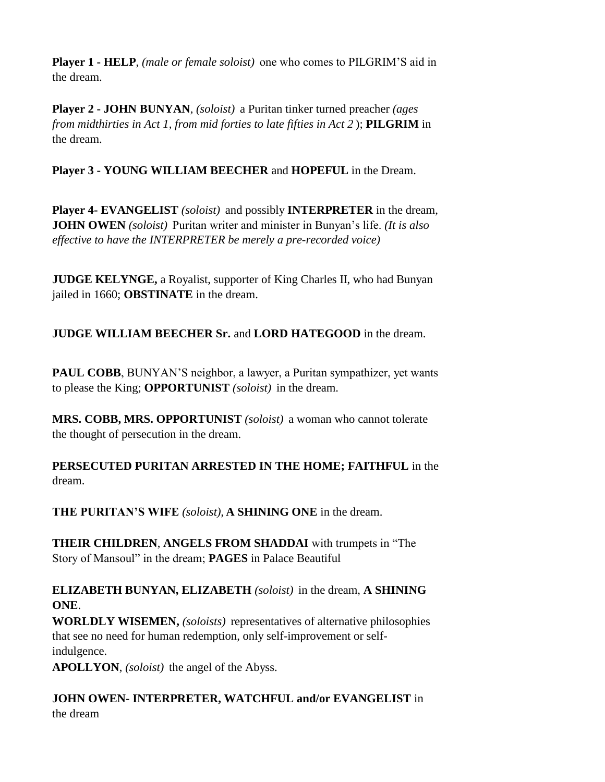**Player 1 - HELP**, *(male or female soloist)* one who comes to PILGRIM'S aid in the dream.

**Player 2 - JOHN BUNYAN**, *(soloist)* a Puritan tinker turned preacher *(ages from midthirties in Act 1, from mid forties to late fifties in Act 2* ); **PILGRIM** in the dream.

**Player 3 - YOUNG WILLIAM BEECHER** and **HOPEFUL** in the Dream.

**Player 4- EVANGELIST** *(soloist)* and possibly **INTERPRETER** in the dream, **JOHN OWEN** *(soloist)* Puritan writer and minister in Bunyan's life. *(It is also effective to have the INTERPRETER be merely a pre-recorded voice)*

**JUDGE KELYNGE,** a Royalist, supporter of King Charles II, who had Bunyan jailed in 1660; **OBSTINATE** in the dream.

**JUDGE WILLIAM BEECHER Sr.** and **LORD HATEGOOD** in the dream.

**PAUL COBB, BUNYAN'S neighbor, a lawyer, a Puritan sympathizer, yet wants** to please the King; **OPPORTUNIST** *(soloist)* in the dream.

**MRS. COBB, MRS. OPPORTUNIST** *(soloist)* a woman who cannot tolerate the thought of persecution in the dream.

**PERSECUTED PURITAN ARRESTED IN THE HOME; FAITHFUL** in the dream.

**THE PURITAN'S WIFE** *(soloist),* **A SHINING ONE** in the dream.

**THEIR CHILDREN**, **ANGELS FROM SHADDAI** with trumpets in "The Story of Mansoul" in the dream; **PAGES** in Palace Beautiful

**ELIZABETH BUNYAN, ELIZABETH** *(soloist)* in the dream, **A SHINING ONE**.

**WORLDLY WISEMEN,** *(soloists)* representatives of alternative philosophies that see no need for human redemption, only self-improvement or selfindulgence.

**APOLLYON**, *(soloist)* the angel of the Abyss.

**JOHN OWEN- INTERPRETER, WATCHFUL and/or EVANGELIST** in the dream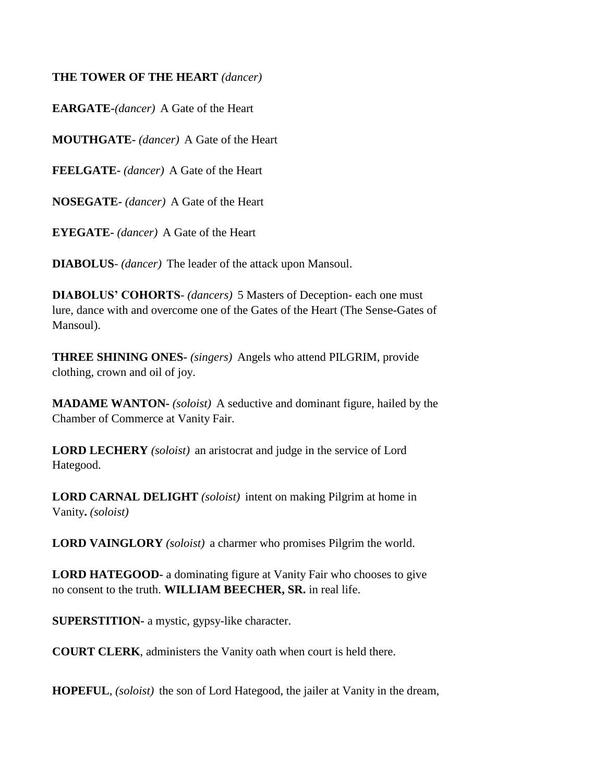## **THE TOWER OF THE HEART** *(dancer)*

**EARGATE-***(dancer)* A Gate of the Heart

**MOUTHGATE-** *(dancer)* A Gate of the Heart

**FEELGATE-** *(dancer)* A Gate of the Heart

**NOSEGATE-** *(dancer)* A Gate of the Heart

**EYEGATE-** *(dancer)* A Gate of the Heart

**DIABOLUS**- *(dancer)* The leader of the attack upon Mansoul.

**DIABOLUS' COHORTS**- *(dancers)* 5 Masters of Deception- each one must lure, dance with and overcome one of the Gates of the Heart (The Sense-Gates of Mansoul).

**THREE SHINING ONES-** *(singers)* Angels who attend PILGRIM, provide clothing, crown and oil of joy.

**MADAME WANTON-** *(soloist)* A seductive and dominant figure, hailed by the Chamber of Commerce at Vanity Fair.

**LORD LECHERY** *(soloist)* an aristocrat and judge in the service of Lord Hategood.

**LORD CARNAL DELIGHT** *(soloist)* intent on making Pilgrim at home in Vanity**.** *(soloist)*

**LORD VAINGLORY** *(soloist)* a charmer who promises Pilgrim the world.

**LORD HATEGOOD-** a dominating figure at Vanity Fair who chooses to give no consent to the truth. **WILLIAM BEECHER, SR.** in real life.

**SUPERSTITION-** a mystic, gypsy-like character.

**COURT CLERK**, administers the Vanity oath when court is held there.

**HOPEFUL**, *(soloist)* the son of Lord Hategood, the jailer at Vanity in the dream,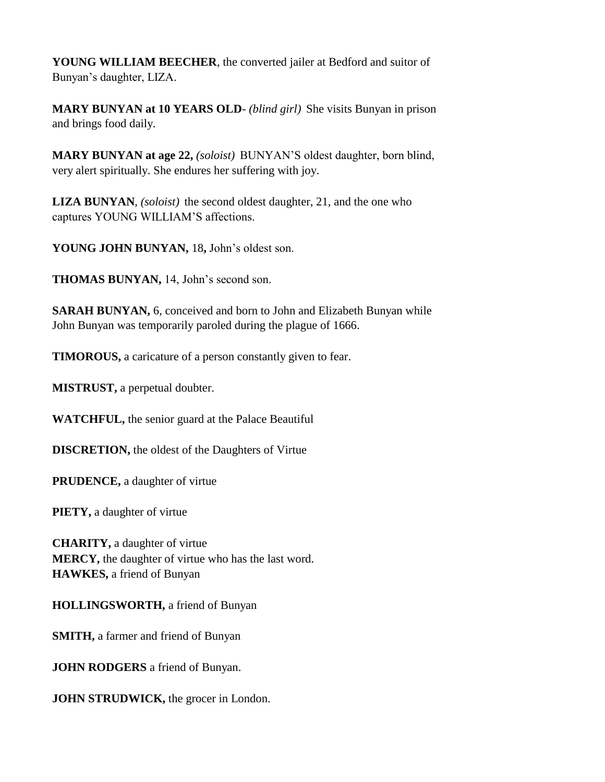**YOUNG WILLIAM BEECHER**, the converted jailer at Bedford and suitor of Bunyan's daughter, LIZA.

**MARY BUNYAN at 10 YEARS OLD**- *(blind girl)* She visits Bunyan in prison and brings food daily.

**MARY BUNYAN at age 22,** *(soloist)* BUNYAN'S oldest daughter, born blind, very alert spiritually. She endures her suffering with joy.

**LIZA BUNYAN**, *(soloist)* the second oldest daughter, 21, and the one who captures YOUNG WILLIAM'S affections.

**YOUNG JOHN BUNYAN,** 18**,** John's oldest son.

**THOMAS BUNYAN,** 14, John's second son.

**SARAH BUNYAN, 6, conceived and born to John and Elizabeth Bunyan while** John Bunyan was temporarily paroled during the plague of 1666.

**TIMOROUS,** a caricature of a person constantly given to fear.

**MISTRUST,** a perpetual doubter.

**WATCHFUL,** the senior guard at the Palace Beautiful

**DISCRETION,** the oldest of the Daughters of Virtue

**PRUDENCE,** a daughter of virtue

**PIETY,** a daughter of virtue

**CHARITY,** a daughter of virtue **MERCY,** the daughter of virtue who has the last word. **HAWKES,** a friend of Bunyan

**HOLLINGSWORTH,** a friend of Bunyan

**SMITH, a farmer and friend of Bunyan** 

**JOHN RODGERS** a friend of Bunyan.

**JOHN STRUDWICK,** the grocer in London.